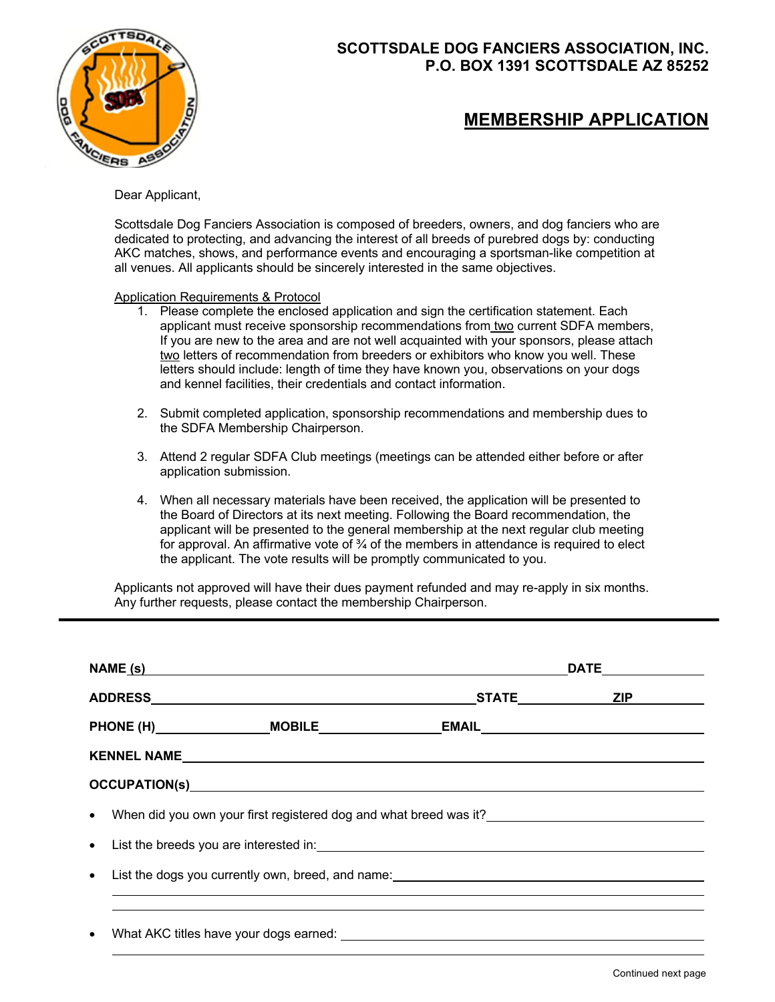

## **SCOTTSDALE DOG FANCIERS ASSOCIATION, INC. P.O. BOX 1391 SCOTTSDALE AZ 85252**

## **MEMBERSHIP APPLICATION**

Dear Applicant,

Scottsdale Dog Fanciers Association is composed of breeders, owners, and dog fanciers who are dedicated to protecting, and advancing the interest of all breeds of purebred dogs by: conducting AKC matches, shows, and performance events and encouraging a sportsman-like competition at all venues. All applicants should be sincerely interested in the same objectives.

Application Requirements & Protocol

- 1. Please complete the enclosed application and sign the certification statement. Each applicant must receive sponsorship recommendations from two current SDFA members, If you are new to the area and are not well acquainted with your sponsors, please attach two letters of recommendation from breeders or exhibitors who know you well. These letters should include: length of time they have known you, observations on your dogs and kennel facilities, their credentials and contact information.
- 2. Submit completed application, sponsorship recommendations and membership dues to the SDFA Membership Chairperson.
- 3. Attend 2 regular SDFA Club meetings (meetings can be attended either before or after application submission.
- 4. When all necessary materials have been received, the application will be presented to the Board of Directors at its next meeting. Following the Board recommendation, the applicant will be presented to the general membership at the next regular club meeting for approval. An affirmative vote of  $\frac{3}{4}$  of the members in attendance is required to elect the applicant. The vote results will be promptly communicated to you.

Applicants not approved will have their dues payment refunded and may re-apply in six months. Any further requests, please contact the membership Chairperson.

| NAME (s)                                                                                                                                                                                                                           |                                            |  |  |  |
|------------------------------------------------------------------------------------------------------------------------------------------------------------------------------------------------------------------------------------|--------------------------------------------|--|--|--|
|                                                                                                                                                                                                                                    | _STATE________________ <u>ZIP</u> ________ |  |  |  |
| PHONE (H)__________________MOBILE____________________EMAIL_______________________                                                                                                                                                  |                                            |  |  |  |
|                                                                                                                                                                                                                                    |                                            |  |  |  |
| OCCUPATION(s) <b>Example 2</b> and the contract of the contract of the contract of the contract of the contract of the contract of the contract of the contract of the contract of the contract of the contract of the contract of |                                            |  |  |  |
|                                                                                                                                                                                                                                    |                                            |  |  |  |
| $\bullet$                                                                                                                                                                                                                          |                                            |  |  |  |
|                                                                                                                                                                                                                                    |                                            |  |  |  |
|                                                                                                                                                                                                                                    |                                            |  |  |  |
| • What AKC titles have your dogs earned:                                                                                                                                                                                           | <u> a shekara ta 1999 a shekara t</u>      |  |  |  |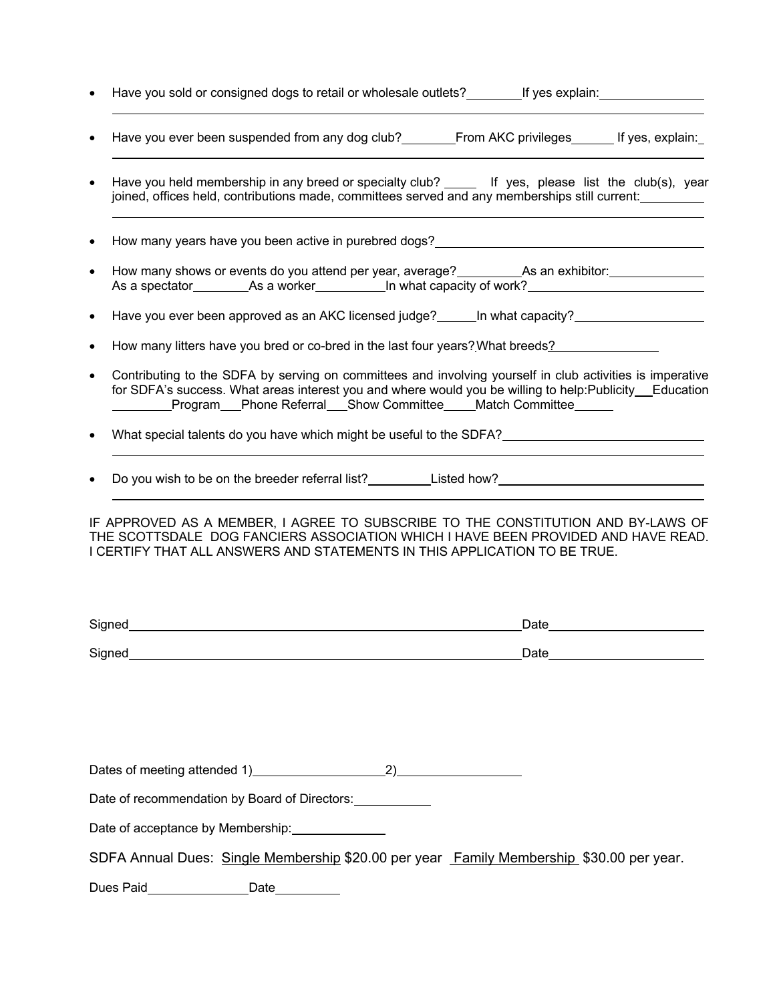- Have you sold or consigned dogs to retail or wholesale outlets? \_\_\_\_\_\_\_\_If yes explain: \_\_\_\_\_\_\_\_\_\_\_\_\_\_\_\_\_\_\_\_\_\_
- Have you ever been suspended from any dog club? From AKC privileges From Sites, explain:
- Have you held membership in any breed or specialty club? \_\_\_\_ If yes, please list the club(s), year joined, offices held, contributions made, committees served and any memberships still current:
- How many years have you been active in purebred dogs?
- How many shows or events do you attend per year, average? As an exhibitor: As a spectator\_\_\_\_\_\_\_\_\_\_\_As a worker\_\_\_\_\_\_\_\_\_\_\_\_In what capacity of work?\_\_\_\_\_\_\_\_\_\_\_\_\_
- Have you ever been approved as an AKC licensed judge? In what capacity?
- How many litters have you bred or co-bred in the last four years?What breeds?
- Contributing to the SDFA by serving on committees and involving yourself in club activities is imperative for SDFA's success. What areas interest you and where would you be willing to help:Publicity Education Program Phone Referral Show Committee Match Committee
- What special talents do you have which might be useful to the SDFA?
- Do you wish to be on the breeder referral list?<br>
Listed how?

IF APPROVED AS A MEMBER, I AGREE TO SUBSCRIBE TO THE CONSTITUTION AND BY-LAWS OF THE SCOTTSDALE DOG FANCIERS ASSOCIATION WHICH I HAVE BEEN PROVIDED AND HAVE READ. I CERTIFY THAT ALL ANSWERS AND STATEMENTS IN THIS APPLICATION TO BE TRUE.

| Signed | Date |
|--------|------|
| Signed | Date |

| Dates of meeting attended 1) |  |
|------------------------------|--|
|------------------------------|--|

Date of recommendation by Board of Directors:

Date of acceptance by Membership:

| SDFA Annual Dues: Single Membership \$20.00 per year Family Membership \$30.00 per year. |  |  |  |  |  |  |
|------------------------------------------------------------------------------------------|--|--|--|--|--|--|
|------------------------------------------------------------------------------------------|--|--|--|--|--|--|

Dues Paid **Dues** Paid **Dues** Paid **Date Date Date Date Date Date Date Date Date Date Date Date Date Date Date Date Date Date Date Date Date Date Date Date Date Date Date**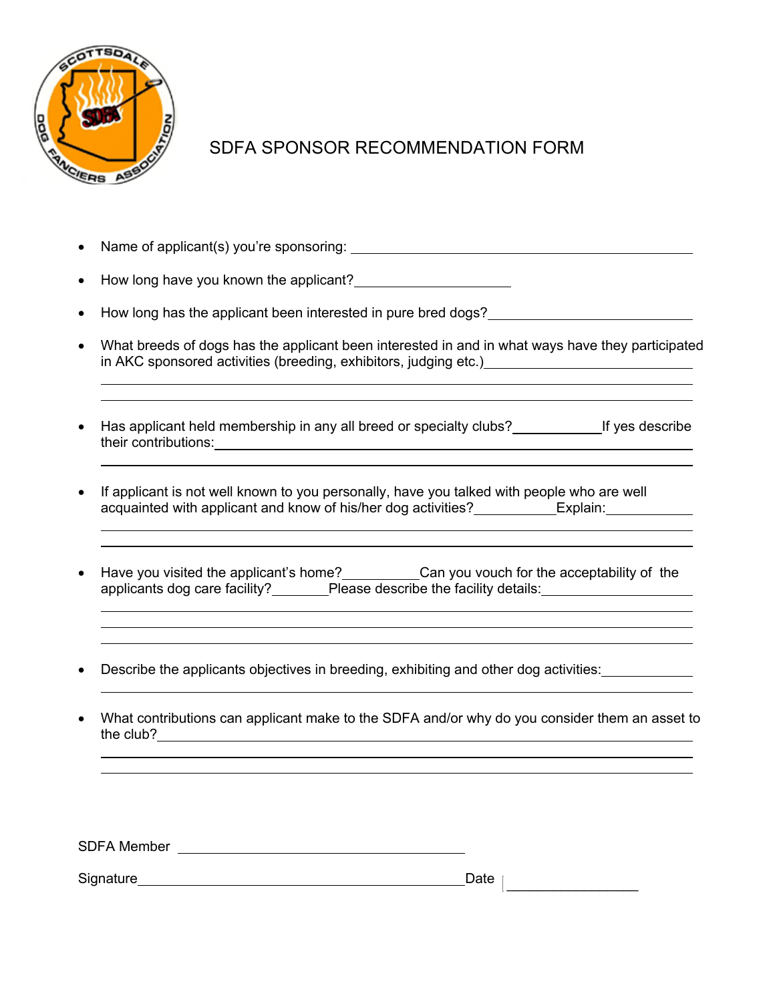

## SDFA SPONSOR RECOMMENDATION FORM

- Name of applicant(s) you're sponsoring:
- How long have you known the applicant?
- How long has the applicant been interested in pure bred dogs?
- What breeds of dogs has the applicant been interested in and in what ways have they participated in AKC sponsored activities (breeding, exhibitors, judging etc.)

<u> 1980 - Andrea Santa Andrea Santa Andrea Santa Andrea Santa Andrea Santa Andrea Santa Andrea Santa Andrea San</u>

- Has applicant held membership in any all breed or specialty clubs?<br>
If yes describe their contributions:
- If applicant is not well known to you personally, have you talked with people who are well acquainted with applicant and know of his/her dog activities? Explain:
- Have you visited the applicant's home? Can you vouch for the acceptability of the applicants dog care facility? Please describe the facility details: Please describe the facility details:
- Describe the applicants objectives in breeding, exhibiting and other dog activities:
- What contributions can applicant make to the SDFA and/or why do you consider them an asset to the club? <u>example and the club?</u> example of  $\sim$

SDFA Member **SDFA** Member

\_\_\_\_\_\_\_\_\_\_\_\_\_\_\_\_\_ Signature Date